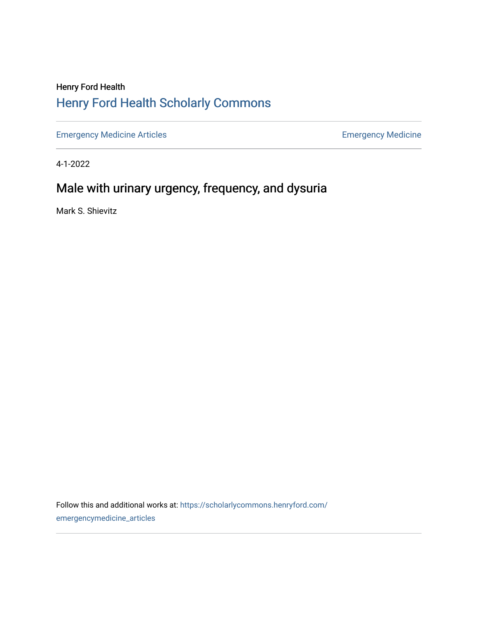# Henry Ford Health [Henry Ford Health Scholarly Commons](https://scholarlycommons.henryford.com/)

[Emergency Medicine Articles](https://scholarlycommons.henryford.com/emergencymedicine_articles) **Emergency Medicine** 

4-1-2022

# Male with urinary urgency, frequency, and dysuria

Mark S. Shievitz

Follow this and additional works at: [https://scholarlycommons.henryford.com/](https://scholarlycommons.henryford.com/emergencymedicine_articles?utm_source=scholarlycommons.henryford.com%2Femergencymedicine_articles%2F269&utm_medium=PDF&utm_campaign=PDFCoverPages) [emergencymedicine\\_articles](https://scholarlycommons.henryford.com/emergencymedicine_articles?utm_source=scholarlycommons.henryford.com%2Femergencymedicine_articles%2F269&utm_medium=PDF&utm_campaign=PDFCoverPages)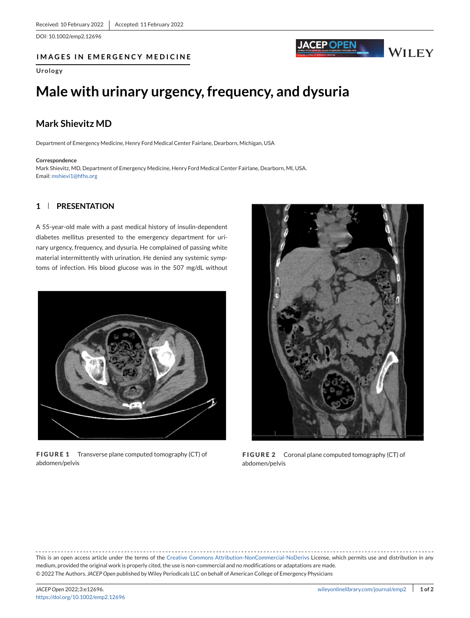<span id="page-1-0"></span>DOI: 10.1002/emp2.12696

# **IMAGES IN EMERGENCY MEDICINE**

### **Urology**

# **Male with urinary urgency, frequency, and dysuria**

# **Mark Shievitz MD**

Department of Emergency Medicine, Henry Ford Medical Center Fairlane, Dearborn, Michigan, USA

#### **Correspondence**

Mark Shievitz, MD, Department of Emergency Medicine, Henry Ford Medical Center Fairlane, Dearborn, MI, USA. Email: [mshievi1@hfhs.org](mailto:mshievi1@hfhs.org)

# **1 PRESENTATION**

A 55-year-old male with a past medical history of insulin-dependent diabetes mellitus presented to the emergency department for urinary urgency, frequency, and dysuria. He complained of passing white material intermittently with urination. He denied any systemic symptoms of infection. His blood glucose was in the 507 mg/dL without



**FIGURE 1** Transverse plane computed tomography (CT) of abdomen/pelvis



JACEP OPEN

**WILEY** 

**FIGURE 2** Coronal plane computed tomography (CT) of abdomen/pelvis

This is an open access article under the terms of the [Creative Commons Attribution-NonCommercial-NoDerivs](http://creativecommons.org/licenses/by-nc-nd/4.0/) License, which permits use and distribution in any medium, provided the original work is properly cited, the use is non-commercial and no modifications or adaptations are made. © 2022 The Authors. *JACEP Open* published by Wiley Periodicals LLC on behalf of American College of Emergency Physicians